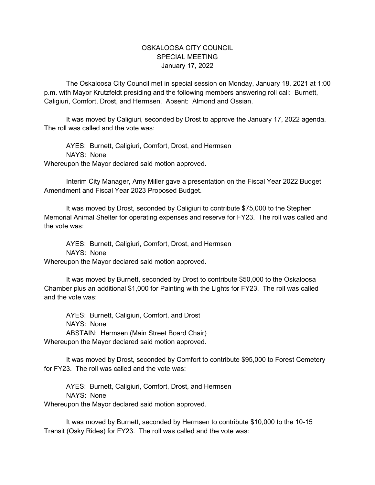## OSKALOOSA CITY COUNCIL SPECIAL MEETING January 17, 2022

The Oskaloosa City Council met in special session on Monday, January 18, 2021 at 1:00 p.m. with Mayor Krutzfeldt presiding and the following members answering roll call: Burnett, Caligiuri, Comfort, Drost, and Hermsen. Absent: Almond and Ossian.

It was moved by Caligiuri, seconded by Drost to approve the January 17, 2022 agenda. The roll was called and the vote was:

AYES: Burnett, Caligiuri, Comfort, Drost, and Hermsen NAYS: None Whereupon the Mayor declared said motion approved.

Interim City Manager, Amy Miller gave a presentation on the Fiscal Year 2022 Budget Amendment and Fiscal Year 2023 Proposed Budget.

It was moved by Drost, seconded by Caligiuri to contribute \$75,000 to the Stephen Memorial Animal Shelter for operating expenses and reserve for FY23. The roll was called and the vote was:

AYES: Burnett, Caligiuri, Comfort, Drost, and Hermsen NAYS: None

Whereupon the Mayor declared said motion approved.

It was moved by Burnett, seconded by Drost to contribute \$50,000 to the Oskaloosa Chamber plus an additional \$1,000 for Painting with the Lights for FY23. The roll was called and the vote was:

AYES: Burnett, Caligiuri, Comfort, and Drost NAYS: None ABSTAIN: Hermsen (Main Street Board Chair) Whereupon the Mayor declared said motion approved.

It was moved by Drost, seconded by Comfort to contribute \$95,000 to Forest Cemetery for FY23. The roll was called and the vote was:

AYES: Burnett, Caligiuri, Comfort, Drost, and Hermsen NAYS: None

Whereupon the Mayor declared said motion approved.

It was moved by Burnett, seconded by Hermsen to contribute \$10,000 to the 10-15 Transit (Osky Rides) for FY23. The roll was called and the vote was: